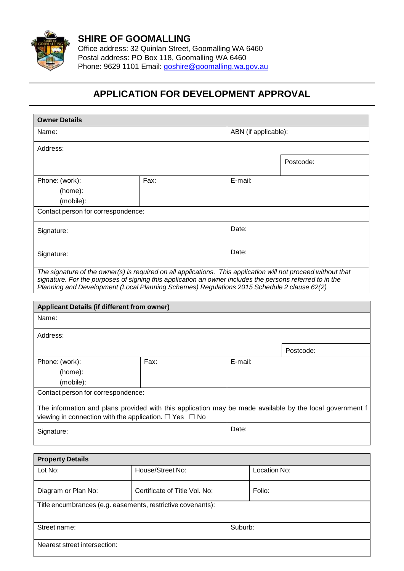

Office address: 32 Quinlan Street, Goomalling WA 6460 Postal address: PO Box 118, Goomalling WA 6460 Phone: 9629 1101 Email: [goshire@goomalling.wa.gov.au](mailto:goshire@goomalling.wa.gov.au)

## **APPLICATION FOR DEVELOPMENT APPROVAL**

| <b>Owner Details</b>                                                                                                                                                                                                                                                                                                    |                               |         |                      |           |  |
|-------------------------------------------------------------------------------------------------------------------------------------------------------------------------------------------------------------------------------------------------------------------------------------------------------------------------|-------------------------------|---------|----------------------|-----------|--|
| Name:                                                                                                                                                                                                                                                                                                                   |                               |         | ABN (if applicable): |           |  |
| Address:                                                                                                                                                                                                                                                                                                                |                               |         |                      |           |  |
|                                                                                                                                                                                                                                                                                                                         |                               |         |                      | Postcode: |  |
| Phone: (work):                                                                                                                                                                                                                                                                                                          | Fax:                          | E-mail: |                      |           |  |
| (home):                                                                                                                                                                                                                                                                                                                 |                               |         |                      |           |  |
| (mobile):                                                                                                                                                                                                                                                                                                               |                               |         |                      |           |  |
| Contact person for correspondence:                                                                                                                                                                                                                                                                                      |                               |         |                      |           |  |
| Signature:                                                                                                                                                                                                                                                                                                              |                               | Date:   |                      |           |  |
| Signature:                                                                                                                                                                                                                                                                                                              |                               |         | Date:                |           |  |
| The signature of the owner(s) is required on all applications. This application will not proceed without that<br>signature. For the purposes of signing this application an owner includes the persons referred to in the<br>Planning and Development (Local Planning Schemes) Regulations 2015 Schedule 2 clause 62(2) |                               |         |                      |           |  |
| <b>Applicant Details (if different from owner)</b>                                                                                                                                                                                                                                                                      |                               |         |                      |           |  |
| Name:                                                                                                                                                                                                                                                                                                                   |                               |         |                      |           |  |
| Address:                                                                                                                                                                                                                                                                                                                |                               |         |                      |           |  |
|                                                                                                                                                                                                                                                                                                                         |                               |         |                      | Postcode: |  |
| Phone: (work):                                                                                                                                                                                                                                                                                                          | Fax:                          | E-mail: |                      |           |  |
| (home):                                                                                                                                                                                                                                                                                                                 |                               |         |                      |           |  |
| (mobile):                                                                                                                                                                                                                                                                                                               |                               |         |                      |           |  |
| Contact person for correspondence:                                                                                                                                                                                                                                                                                      |                               |         |                      |           |  |
| The information and plans provided with this application may be made available by the local government f<br>viewing in connection with the application. $\Box$ Yes $\Box$ No                                                                                                                                            |                               |         |                      |           |  |
|                                                                                                                                                                                                                                                                                                                         |                               | Date:   |                      |           |  |
| Signature:                                                                                                                                                                                                                                                                                                              |                               |         |                      |           |  |
| <b>Property Details</b>                                                                                                                                                                                                                                                                                                 |                               |         |                      |           |  |
| Lot No:                                                                                                                                                                                                                                                                                                                 | House/Street No:              |         | Location No:         |           |  |
|                                                                                                                                                                                                                                                                                                                         |                               |         |                      |           |  |
| Diagram or Plan No:                                                                                                                                                                                                                                                                                                     | Certificate of Title Vol. No: | Folio:  |                      |           |  |
| Title encumbrances (e.g. easements, restrictive covenants):                                                                                                                                                                                                                                                             |                               |         |                      |           |  |
| Street name:                                                                                                                                                                                                                                                                                                            |                               | Suburb: |                      |           |  |
| Nearest street intersection:                                                                                                                                                                                                                                                                                            |                               |         |                      |           |  |
|                                                                                                                                                                                                                                                                                                                         |                               |         |                      |           |  |